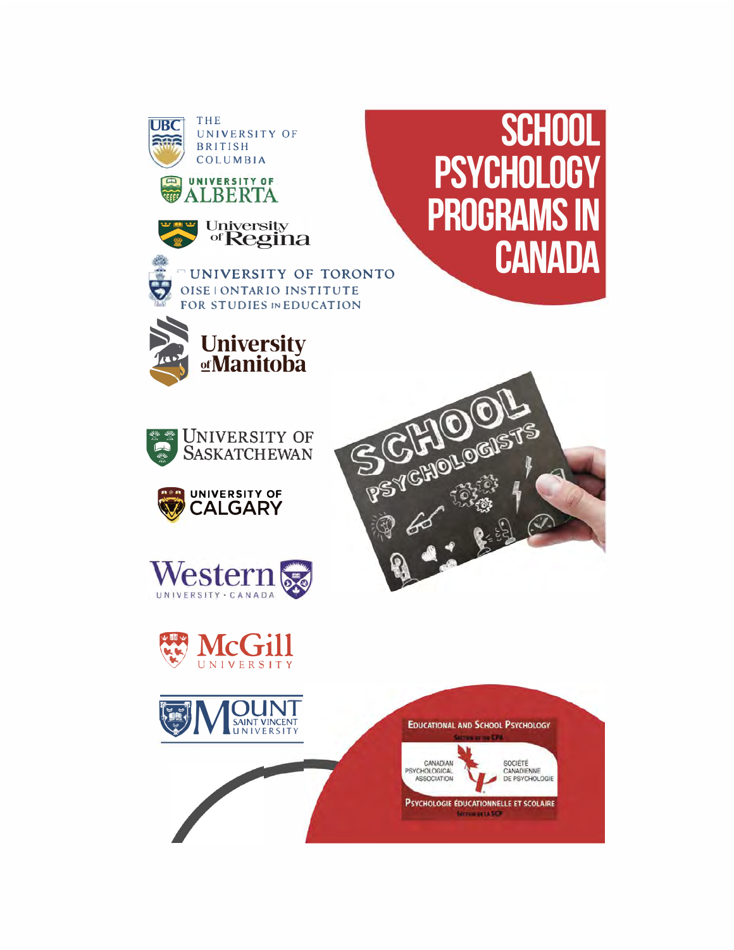





UNIVERSITY OF TORONTO OISE | ONTARIO INSTITUTE FOR STUDIES IN EDUCATION











**SCHOOL** 

**CANADA** 

**PSYCHOLOGY** 

**PROGRAMS** 



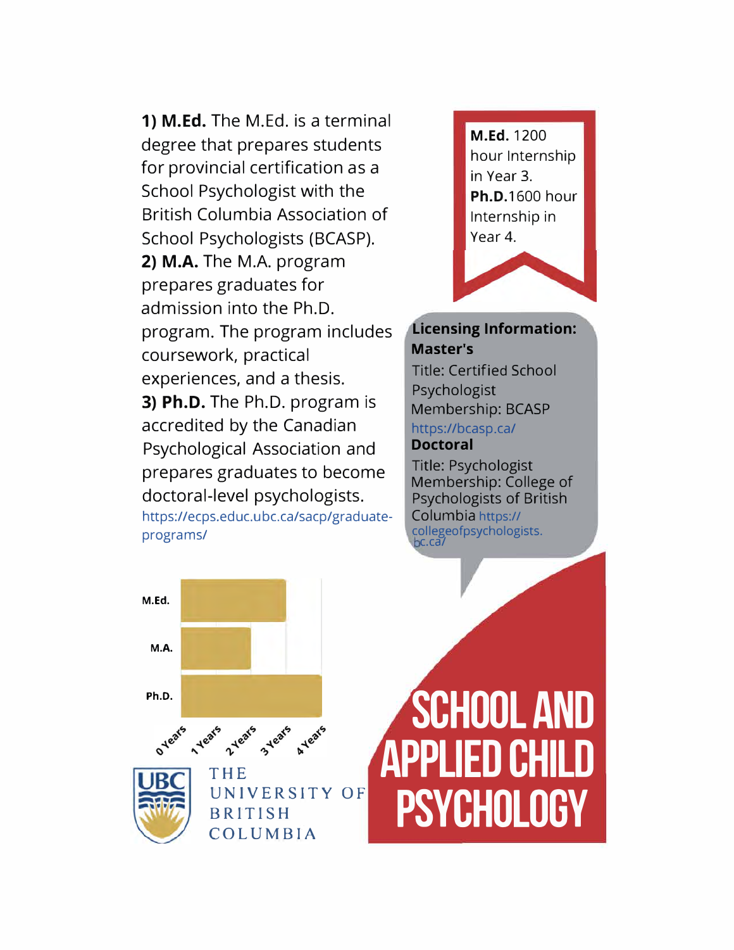**1) M.Ed.** The M.Ed. is a terminal degree that prepares students for provincial certification as a School Psychologist with the British Columbia Association of School Psychologists (BCASP). **2) M.A.** The M.A. program prepares graduates for admission into the Ph.D. program. The program includes coursework, practical experiences, and a thesis. **3) Ph.D.** The Ph.D. program is accredited by the Canadian Psychological Association and prepares graduates to become doctoral-level psychologists. https://ecps.educ.ubc.ca/sacp/graduateprograms/



#### **Licensing Information: Master's**

Title: Certified School Psychologist Membership: BCASP https://bcasp.ca/ **Doctoral** 

Title: Psychologist Membership: College of Psychologists of British Columbia https:// collegeofpsychologists. c.ca/

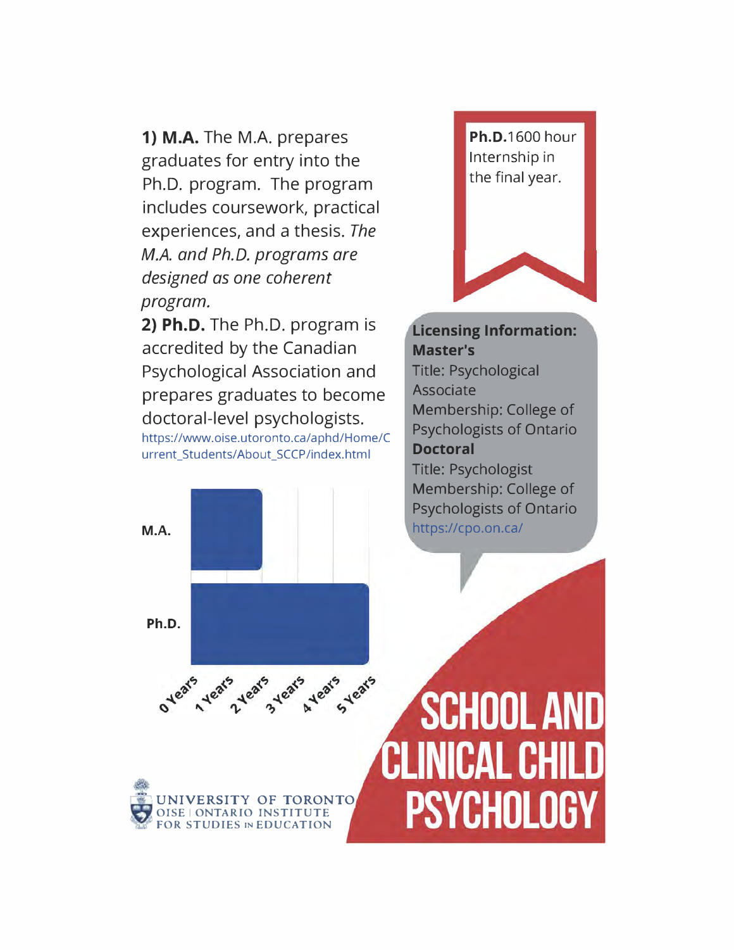**1) M.A.** The M.A. prepares graduates for entry into the Ph.D. program. The program includes coursework, practical experiences, and a thesis. *The M.A. and Ph.D. programs are designed as one coherent program.*

**2) Ph.D.** The Ph.D. program is accredited by the Canadian Psychological Association and prepares graduates to become doctoral-level psychologists. https://www.oise.utoronto.ca/aphd/Home/C urrent\_Students/About\_SCCP/index.html

**FOR STUDIES IN EDUCATION** 



**Licensing Information: Master's**  Title: Psychological Associate Membership: College of Psychologists of Ontario **Doctoral**  Title: Psychologist Membership: College of Psychologists of Ontario https://cpo.on.ca/

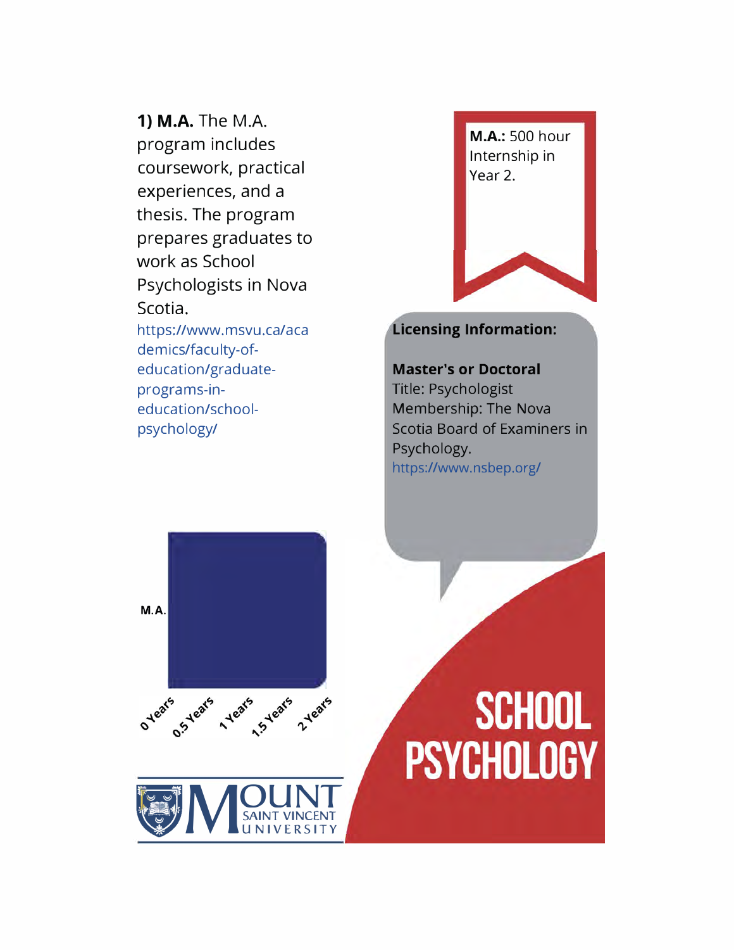1) M.A. The M.A. program includes coursework, practical experiences, and a thesis. The program prepares graduates to work as School Psychologists in Nova Scotia. https://www.msvu.ca/aca demics/faculty-ofeducation/graduateprograms-in-

education/school-

psychology/

M.A.: 500 hour Internship in Year 2.

#### **Licensing Information:**

**Master's or Doctoral**  Title: Psychologist Membership: The Nova Scotia Board of Examiners in Psychology. https://www.nsbep.org/



## **SCHOOL PSYCHOLOGY**

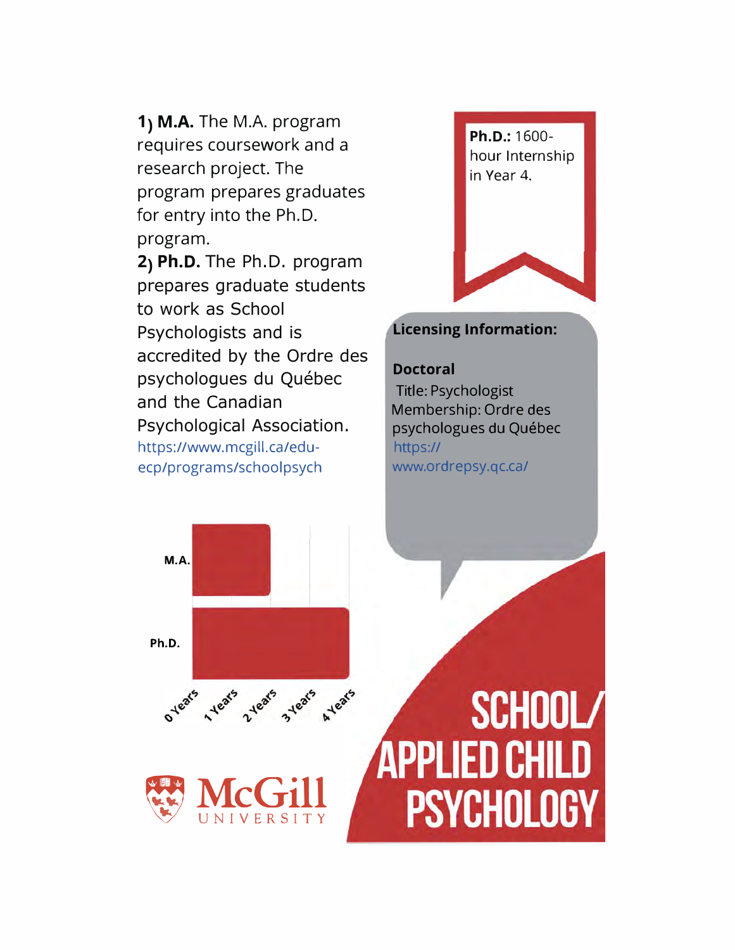**1) M.A.** The M.A. program requires coursework and a research project. The program prepares graduates for entry into the Ph.D. program.

**2) Ph.D.** The Ph.D. program prepares graduate students to work as School Psychologists and is accredited by the Ordre des psychologues du Québec and the Canadian Psychological Association. https://www.mcgill.ca/eduecp/programs/schoolpsych



#### **Licensing Information:**

#### **Doctoral**

Title: Psychologist Membership: Ordre des psychologues du Québec https:// www.ordrepsy.qc.ca/

**M.A. Ph.D.** 





## SCHOOL/ APPLIED CHILD **PSYCHOLOGY**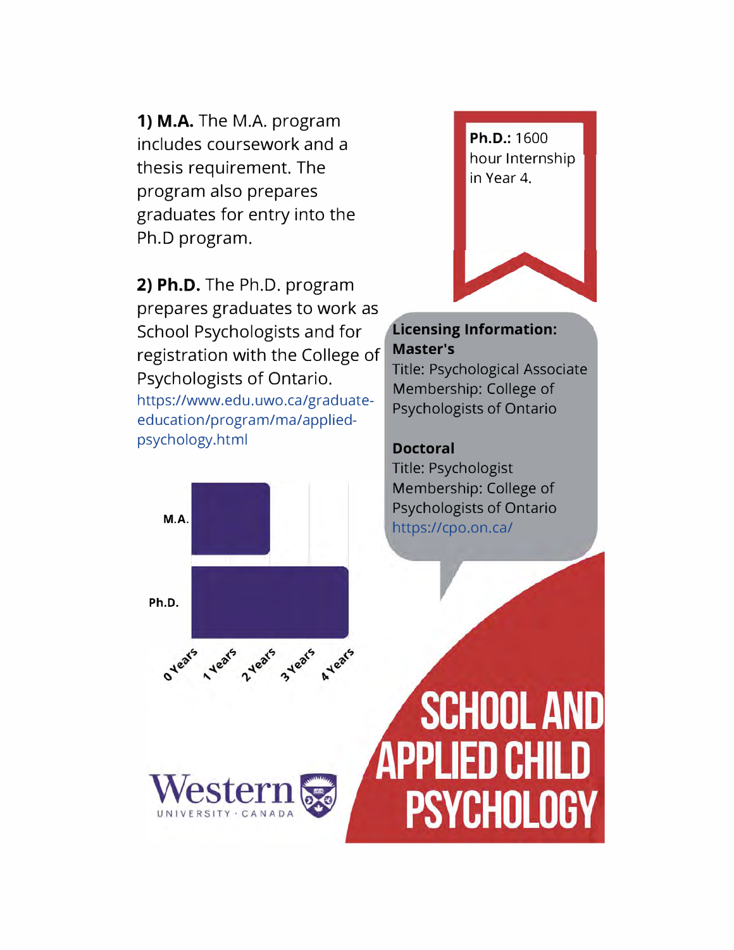**1) M.A.** The M.A. program includes coursework and a thesis requirement. The program also prepares graduates for entry into the Ph.D program.

**2) Ph.D.** The Ph.D. program prepares graduates to work as School Psychologists and for registration with the College of Psychologists of Ontario. https://www.edu.uwo.ca/graduateeducation/program/ma/appliedpsychology.html

**M.A.**

**Ph.D.** 

O Years

**Heats** 

2 years

**estern** 



#### **Licensing Information: Master's**

Title: Psychological Associate Membership: College of Psychologists of Ontario

#### **Doctoral**

AYears

3 Years

Title: Psychologist Membership: College of Psychologists of Ontario https://cpo.on.ca/

**SCHOOL AND** APPLIED CHILD **PSYCHOLOGY**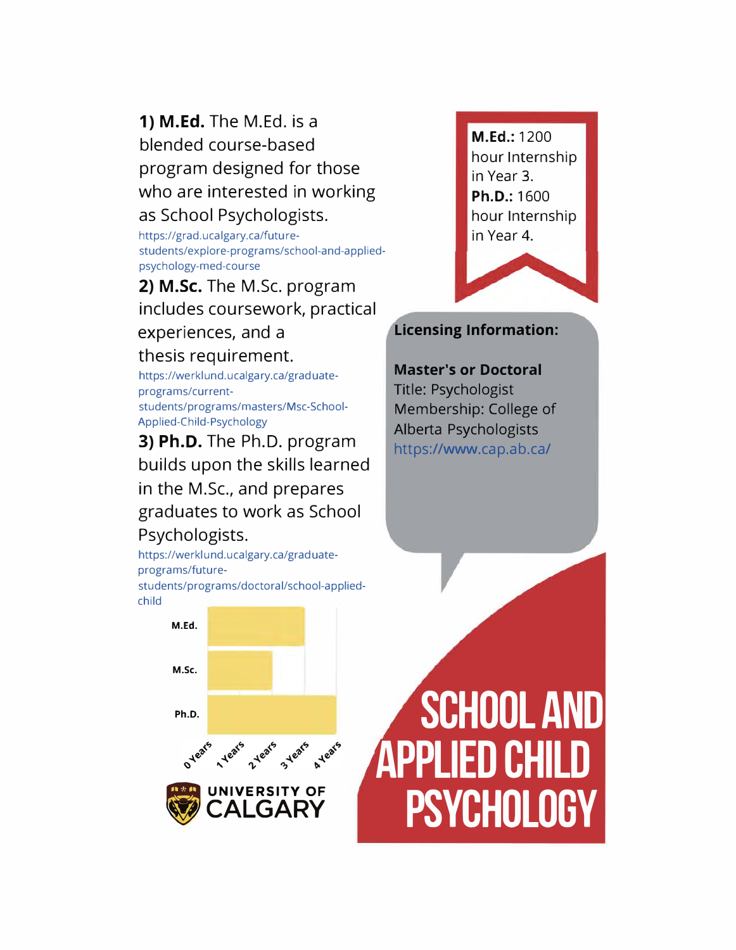**1) M.Ed.** The M.Ed. is a blended course-based program designed for those who are interested in working as School Psychologists.

https://grad.ucalgary.ca/futurestudents/explore-programs/school-and-appliedpsychology-med-course

**2) M.Sc.** The M.Sc. program includes coursework, practical

#### experiences, and a

#### thesis requirement.

https://werklund.ucalgary.ca/graduateprograms/currentstudents/programs/masters/Msc-School-Applied-Child-Psychology

#### **3) Ph.D.** The Ph.D. program builds upon the skills learned

in the M.Sc., and prepares graduates to work as School Psychologists.

https://werklund.ucalgary.ca/graduateprograms/futurestudents/programs/doctoral/school-appliedchild

in Year 3. **Ph.D.:** 1600 hour Internship in Year 4.

**M.Ed.:** 1200

hour Internship

#### **Licensing Information:**

#### **Master's or Doctoral**

Title: Psychologist Membership: College of Alberta Psychologists https://www.cap.ab.ca/

**M.Ed. M.Sc. Ph.D.**  AYears **O** years Years 2 years 3 years **- UNIVERSITY OF**

**.CALGARY**

# **SCHOOL AND APPLIED CHILD PSYCHOLOGY**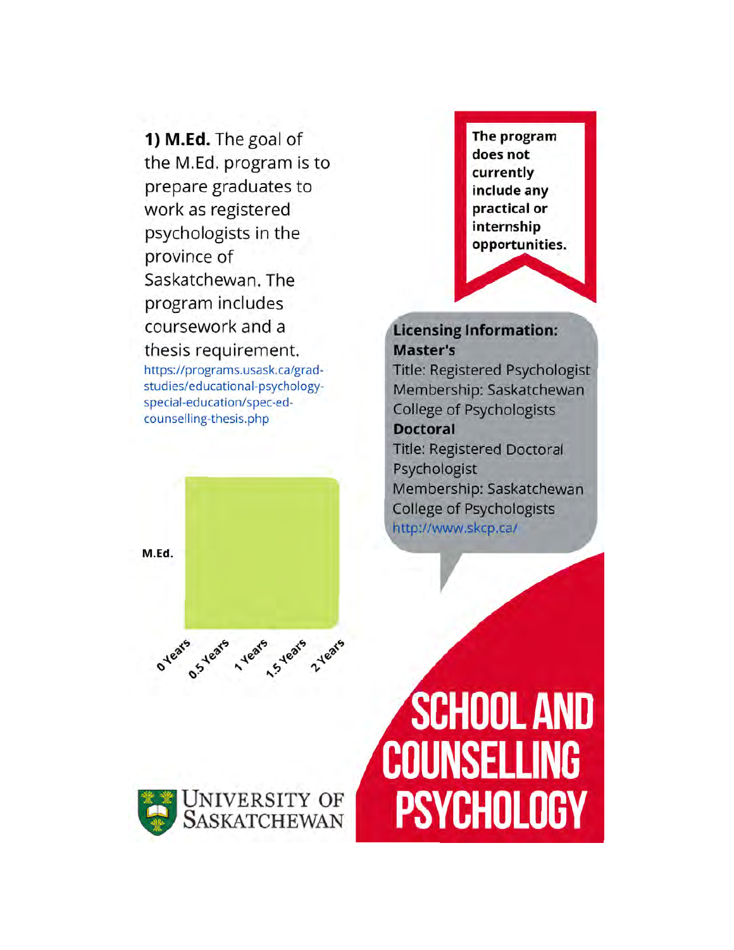1) M.Ed. The goal of the M.Ed. program is to prepare graduates to work as registered psychologists in the province of Saskatchewan. The program includes coursework and a thesis requirement.

https://programs.usask.ca/gradstudies/educational-psychologyspecial-education/spec-edcounselling-thesis.php



#### **Licensing Information: Master's**

**Title: Registered Psychologist** Membership: Saskatchewan **College of Psychologists** 

#### **Doctoral**

**Title: Registered Doctoral** Psychologist Membership: Saskatchewan **College of Psychologists** http://www.skcp.ca/

M.Ed.



ovears of years years 2 years

## **SCHOOL AND COUNSELLING PSYCHOLOGY**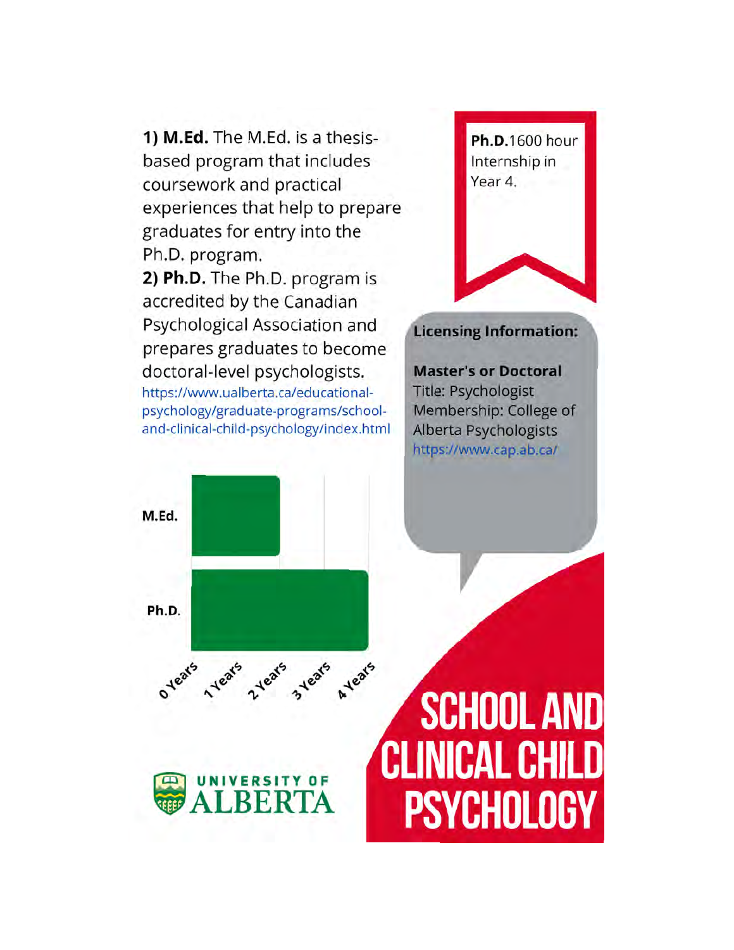1) M.Ed. The M.Ed. is a thesisbased program that includes coursework and practical experiences that help to prepare graduates for entry into the Ph.D. program. 2) Ph.D. The Ph.D. program is accredited by the Canadian Psychological Association and prepares graduates to become doctoral-level psychologists. https://www.ualberta.ca/educationalpsychology/graduate-programs/schooland-clinical-child-psychology/index.html

Ph.D.1600 hour Internship in Year 4.

#### **Licensing Information:**

**Master's or Doctoral** Title: Psychologist Membership: College of Alberta Psychologists https://www.cap.ab.ca/

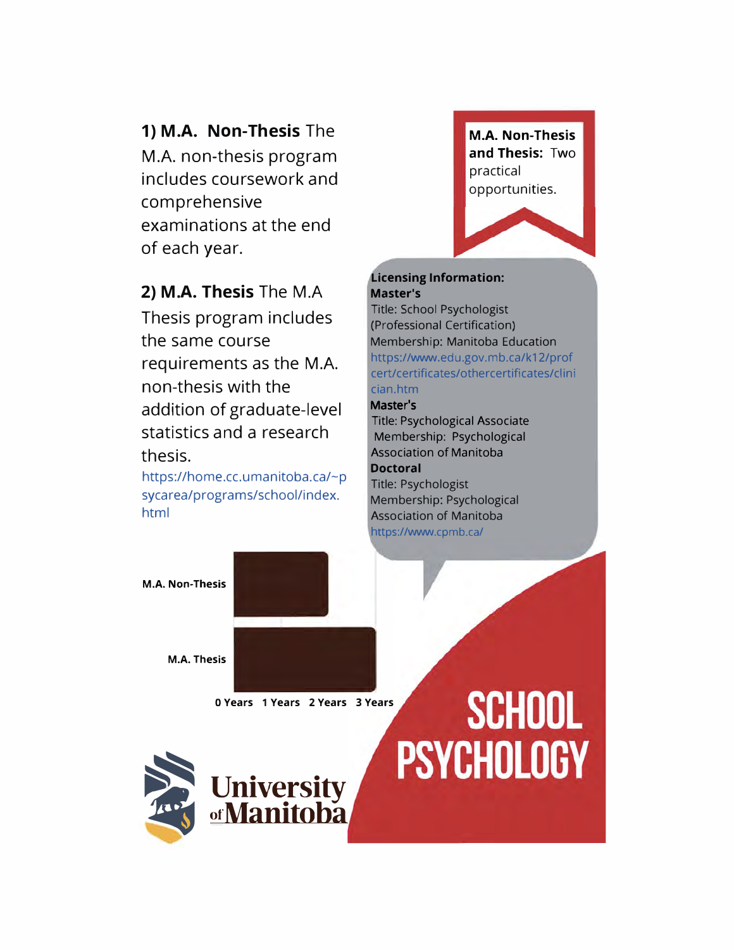#### **1) M.A. Non-Thesis** The

M.A. non-thesis program includes coursework and comprehensive examinations at the end of each year.

#### **2) M.A. Thesis** The M.A

Thesis program includes the same course requirements as the M.A. non-thesis with the addition of graduate-level statistics and a research thesis.

https://home.cc.umanitoba.ca/~p sycarea/programs/school/index. html

**M.A. Non-Thesis and Thesis:** Two practical opportunities.

#### **Licensing Information: Master's**

Title: School Psychologist (Professional Certification) Membership: Manitoba Education https://www.edu.gov.mb.ca/k12/prof cert/certificates/othercertificates/clini cian.htm

#### Master**'**s

Title: Psychological Associate Membership: Psychological Association of Manitoba **Doctoral**  Title: Psychologist Membership: Psychological Association of Manitoba https://www.cpmb.ca/

**M.A. Non-Thesis**

**M.A. Thesis**

**0 Years 1 Years 2 Years 3 Years** 



## **SCHOOL PSYCHOLOGY**